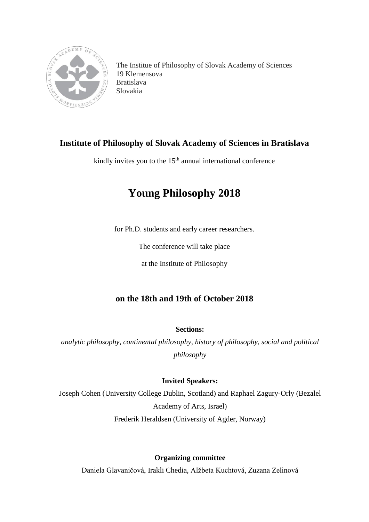

The Institue of Philosophy of Slovak Academy of Sciences 19 Klemensova Bratislava Slovakia

# **Institute of Philosophy of Slovak Academy of Sciences in Bratislava**

kindly invites you to the  $15<sup>th</sup>$  annual international conference

# **Young Philosophy 2018**

for Ph.D. students and early career researchers.

The conference will take place

at the Institute of Philosophy

## **on the 18th and 19th of October 2018**

### **Sections:**

*analytic philosophy*, *continental philosophy*, *history of philosophy*, *social and political philosophy*

## **Invited Speakers:**

Joseph Cohen (University College Dublin, Scotland) and Raphael Zagury-Orly (Bezalel Academy of Arts, Israel) Frederik Heraldsen (University of Agder, Norway)

**Organizing committee**

Daniela Glavaničová, Irakli Chedia, Alžbeta Kuchtová, Zuzana Zelinová